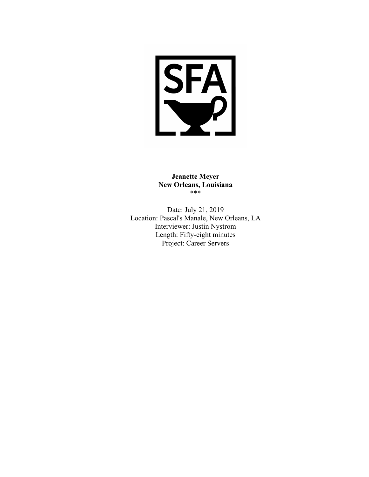

**Jeanette Meyer New Orleans, Louisiana** \*\*\*

Date: July 21, 2019 Location: Pascal's Manale, New Orleans, LA Interviewer: Justin Nystrom Length: Fifty-eight minutes Project: Career Servers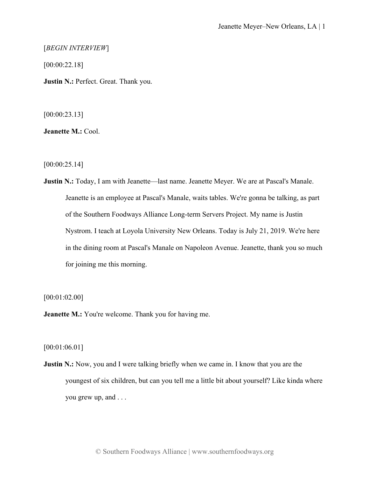[*BEGIN INTERVIEW*]

[00:00:22.18]

**Justin N.:** Perfect. Great. Thank you.

[00:00:23.13]

**Jeanette M.:** Cool.

[00:00:25.14]

**Justin N.:** Today, I am with Jeanette—last name. Jeanette Meyer. We are at Pascal's Manale. Jeanette is an employee at Pascal's Manale, waits tables. We're gonna be talking, as part of the Southern Foodways Alliance Long-term Servers Project. My name is Justin Nystrom. I teach at Loyola University New Orleans. Today is July 21, 2019. We're here in the dining room at Pascal's Manale on Napoleon Avenue. Jeanette, thank you so much for joining me this morning.

[00:01:02.00]

**Jeanette M.:** You're welcome. Thank you for having me.

[00:01:06.01]

**Justin N.:** Now, you and I were talking briefly when we came in. I know that you are the youngest of six children, but can you tell me a little bit about yourself? Like kinda where you grew up, and . . .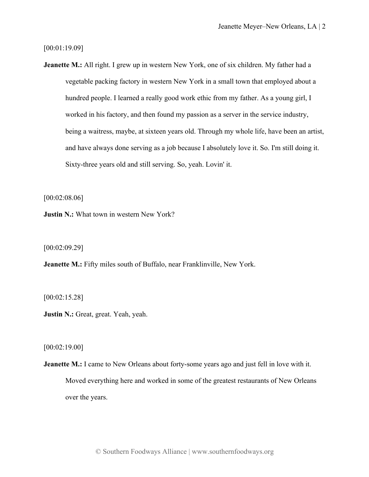[00:01:19.09]

**Jeanette M.:** All right. I grew up in western New York, one of six children. My father had a vegetable packing factory in western New York in a small town that employed about a hundred people. I learned a really good work ethic from my father. As a young girl, I worked in his factory, and then found my passion as a server in the service industry, being a waitress, maybe, at sixteen years old. Through my whole life, have been an artist, and have always done serving as a job because I absolutely love it. So. I'm still doing it. Sixty-three years old and still serving. So, yeah. Lovin' it.

[00:02:08.06]

**Justin N.:** What town in western New York?

[00:02:09.29]

**Jeanette M.:** Fifty miles south of Buffalo, near Franklinville, New York.

[00:02:15.28]

**Justin N.:** Great, great. Yeah, yeah.

[00:02:19.00]

**Jeanette M.:** I came to New Orleans about forty-some years ago and just fell in love with it. Moved everything here and worked in some of the greatest restaurants of New Orleans over the years.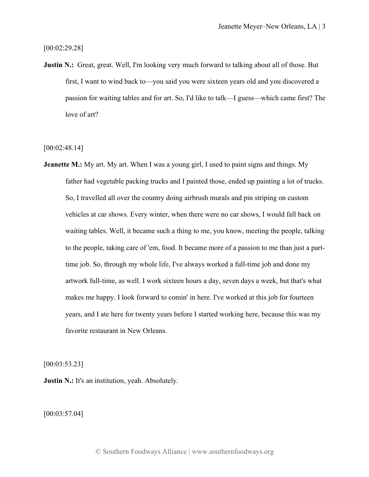[00:02:29.28]

**Justin N.:** Great, great. Well, I'm looking very much forward to talking about all of those. But first, I want to wind back to—you said you were sixteen years old and you discovered a passion for waiting tables and for art. So, I'd like to talk—I guess—which came first? The love of art?

[00:02:48.14]

**Jeanette M.:** My art. My art. When I was a young girl, I used to paint signs and things. My father had vegetable packing trucks and I painted those, ended up painting a lot of trucks. So, I travelled all over the country doing airbrush murals and pin striping on custom vehicles at car shows. Every winter, when there were no car shows, I would fall back on waiting tables. Well, it became such a thing to me, you know, meeting the people, talking to the people, taking care of 'em, food. It became more of a passion to me than just a parttime job. So, through my whole life, I've always worked a full-time job and done my artwork full-time, as well. I work sixteen hours a day, seven days a week, but that's what makes me happy. I look forward to comin' in here. I've worked at this job for fourteen years, and I ate here for twenty years before I started working here, because this was my favorite restaurant in New Orleans.

[00:03:53.23]

**Justin N.:** It's an institution, yeah. Absolutely.

[00:03:57.04]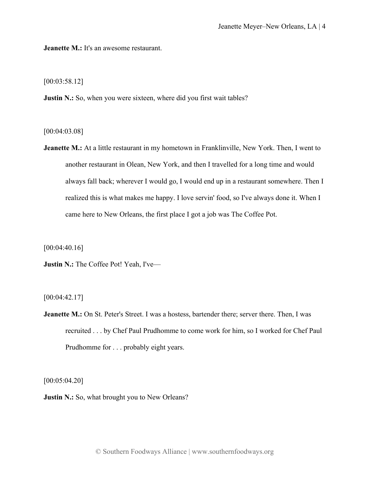**Jeanette M.:** It's an awesome restaurant.

[00:03:58.12]

**Justin N.:** So, when you were sixteen, where did you first wait tables?

[00:04:03.08]

**Jeanette M.:** At a little restaurant in my hometown in Franklinville, New York. Then, I went to another restaurant in Olean, New York, and then I travelled for a long time and would always fall back; wherever I would go, I would end up in a restaurant somewhere. Then I realized this is what makes me happy. I love servin' food, so I've always done it. When I came here to New Orleans, the first place I got a job was The Coffee Pot.

[00:04:40.16]

**Justin N.:** The Coffee Pot! Yeah, I've—

[00:04:42.17]

**Jeanette M.:** On St. Peter's Street. I was a hostess, bartender there; server there. Then, I was recruited . . . by Chef Paul Prudhomme to come work for him, so I worked for Chef Paul Prudhomme for . . . probably eight years.

[00:05:04.20]

**Justin N.:** So, what brought you to New Orleans?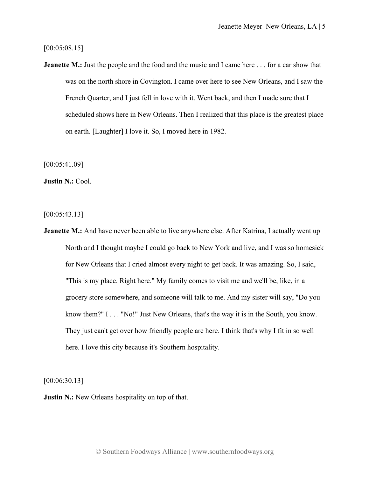[00:05:08.15]

**Jeanette M.:** Just the people and the food and the music and I came here . . . for a car show that was on the north shore in Covington. I came over here to see New Orleans, and I saw the French Quarter, and I just fell in love with it. Went back, and then I made sure that I scheduled shows here in New Orleans. Then I realized that this place is the greatest place on earth. [Laughter] I love it. So, I moved here in 1982.

[00:05:41.09]

**Justin N.:** Cool.

[00:05:43.13]

**Jeanette M.:** And have never been able to live anywhere else. After Katrina, I actually went up North and I thought maybe I could go back to New York and live, and I was so homesick for New Orleans that I cried almost every night to get back. It was amazing. So, I said, "This is my place. Right here." My family comes to visit me and we'll be, like, in a grocery store somewhere, and someone will talk to me. And my sister will say, "Do you know them?" I . . . "No!" Just New Orleans, that's the way it is in the South, you know. They just can't get over how friendly people are here. I think that's why I fit in so well here. I love this city because it's Southern hospitality.

[00:06:30.13]

**Justin N.:** New Orleans hospitality on top of that.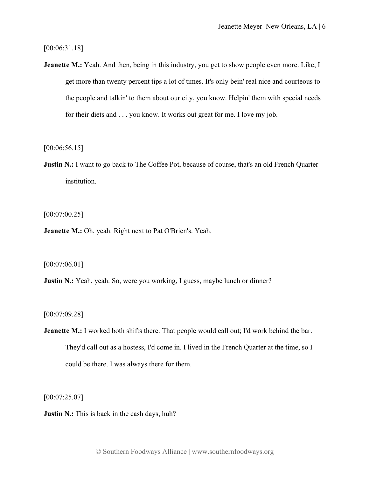[00:06:31.18]

**Jeanette M.:** Yeah. And then, being in this industry, you get to show people even more. Like, I get more than twenty percent tips a lot of times. It's only bein' real nice and courteous to the people and talkin' to them about our city, you know. Helpin' them with special needs for their diets and . . . you know. It works out great for me. I love my job.

[00:06:56.15]

**Justin N.:** I want to go back to The Coffee Pot, because of course, that's an old French Quarter institution.

 $[00:07:00.25]$ 

**Jeanette M.:** Oh, yeah. Right next to Pat O'Brien's. Yeah.

[00:07:06.01]

**Justin N.:** Yeah, yeah. So, were you working, I guess, maybe lunch or dinner?

[00:07:09.28]

**Jeanette M.:** I worked both shifts there. That people would call out; I'd work behind the bar. They'd call out as a hostess, I'd come in. I lived in the French Quarter at the time, so I could be there. I was always there for them.

[00:07:25.07]

**Justin N.:** This is back in the cash days, huh?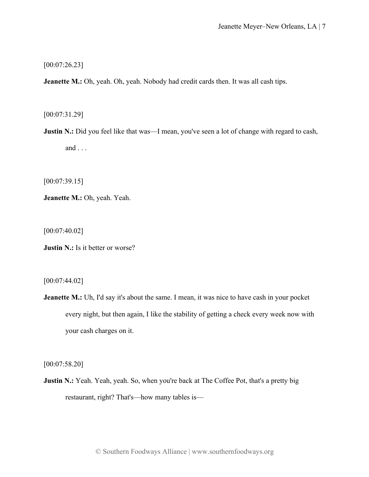[00:07:26.23]

**Jeanette M.:** Oh, yeah. Oh, yeah. Nobody had credit cards then. It was all cash tips.

[00:07:31.29]

**Justin N.:** Did you feel like that was—I mean, you've seen a lot of change with regard to cash, and . . .

[00:07:39.15]

**Jeanette M.:** Oh, yeah. Yeah.

[00:07:40.02]

**Justin N.:** Is it better or worse?

[00:07:44.02]

**Jeanette M.:** Uh, I'd say it's about the same. I mean, it was nice to have cash in your pocket every night, but then again, I like the stability of getting a check every week now with your cash charges on it.

[00:07:58.20]

**Justin N.:** Yeah. Yeah, yeah. So, when you're back at The Coffee Pot, that's a pretty big restaurant, right? That's—how many tables is—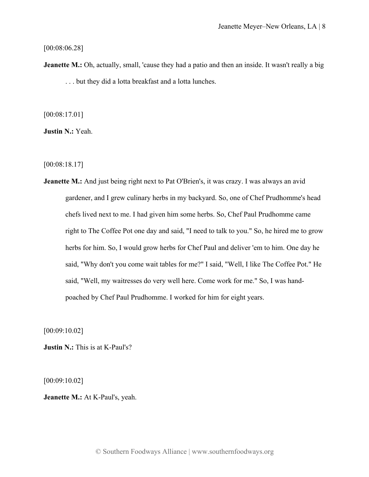## [00:08:06.28]

**Jeanette M.:** Oh, actually, small, 'cause they had a patio and then an inside. It wasn't really a big . . . but they did a lotta breakfast and a lotta lunches.

[00:08:17.01]

**Justin N.:** Yeah.

[00:08:18.17]

**Jeanette M.:** And just being right next to Pat O'Brien's, it was crazy. I was always an avid gardener, and I grew culinary herbs in my backyard. So, one of Chef Prudhomme's head chefs lived next to me. I had given him some herbs. So, Chef Paul Prudhomme came right to The Coffee Pot one day and said, "I need to talk to you." So, he hired me to grow herbs for him. So, I would grow herbs for Chef Paul and deliver 'em to him. One day he said, "Why don't you come wait tables for me?" I said, "Well, I like The Coffee Pot." He said, "Well, my waitresses do very well here. Come work for me." So, I was handpoached by Chef Paul Prudhomme. I worked for him for eight years.

[00:09:10.02]

**Justin N.:** This is at K-Paul's?

[00:09:10.02]

**Jeanette M.:** At K-Paul's, yeah.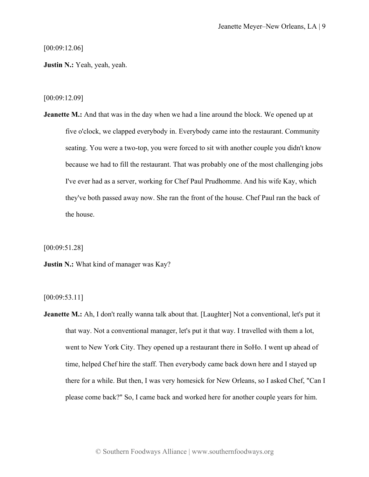[00:09:12.06]

**Justin N.:** Yeah, yeah, yeah.

[00:09:12.09]

**Jeanette M.:** And that was in the day when we had a line around the block. We opened up at five o'clock, we clapped everybody in. Everybody came into the restaurant. Community seating. You were a two-top, you were forced to sit with another couple you didn't know because we had to fill the restaurant. That was probably one of the most challenging jobs I've ever had as a server, working for Chef Paul Prudhomme. And his wife Kay, which they've both passed away now. She ran the front of the house. Chef Paul ran the back of the house.

[00:09:51.28]

**Justin N.:** What kind of manager was Kay?

[00:09:53.11]

**Jeanette M.:** Ah, I don't really wanna talk about that. [Laughter] Not a conventional, let's put it that way. Not a conventional manager, let's put it that way. I travelled with them a lot, went to New York City. They opened up a restaurant there in SoHo. I went up ahead of time, helped Chef hire the staff. Then everybody came back down here and I stayed up there for a while. But then, I was very homesick for New Orleans, so I asked Chef, "Can I please come back?" So, I came back and worked here for another couple years for him.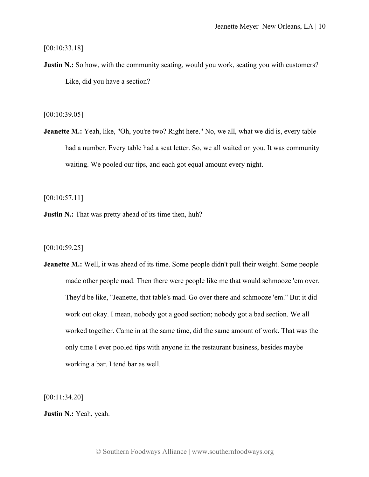[00:10:33.18]

**Justin N.:** So how, with the community seating, would you work, seating you with customers? Like, did you have a section? —

[00:10:39.05]

**Jeanette M.:** Yeah, like, "Oh, you're two? Right here." No, we all, what we did is, every table had a number. Every table had a seat letter. So, we all waited on you. It was community waiting. We pooled our tips, and each got equal amount every night.

[00:10:57.11]

**Justin N.:** That was pretty ahead of its time then, huh?

[00:10:59.25]

**Jeanette M.:** Well, it was ahead of its time. Some people didn't pull their weight. Some people made other people mad. Then there were people like me that would schmooze 'em over. They'd be like, "Jeanette, that table's mad. Go over there and schmooze 'em." But it did work out okay. I mean, nobody got a good section; nobody got a bad section. We all worked together. Came in at the same time, did the same amount of work. That was the only time I ever pooled tips with anyone in the restaurant business, besides maybe working a bar. I tend bar as well.

[00:11:34.20]

**Justin N.:** Yeah, yeah.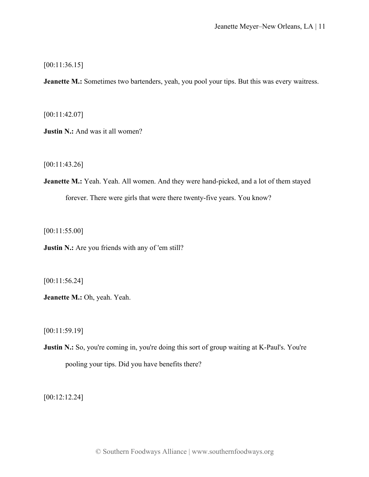[00:11:36.15]

**Jeanette M.:** Sometimes two bartenders, yeah, you pool your tips. But this was every waitress.

[00:11:42.07]

**Justin N.:** And was it all women?

[00:11:43.26]

**Jeanette M.:** Yeah. Yeah. All women. And they were hand-picked, and a lot of them stayed forever. There were girls that were there twenty-five years. You know?

[00:11:55.00]

**Justin N.:** Are you friends with any of 'em still?

[00:11:56.24]

**Jeanette M.:** Oh, yeah. Yeah.

[00:11:59.19]

**Justin N.:** So, you're coming in, you're doing this sort of group waiting at K-Paul's. You're pooling your tips. Did you have benefits there?

[00:12:12.24]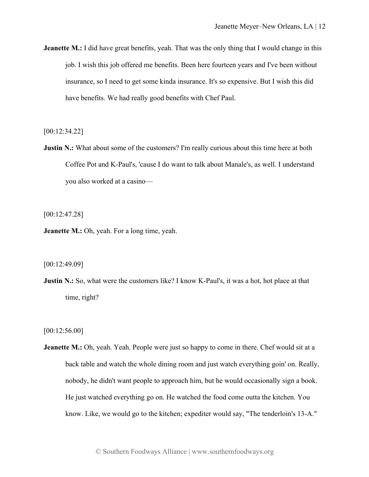**Jeanette M.:** I did have great benefits, yeah. That was the only thing that I would change in this job. I wish this job offered me benefits. Been here fourteen years and I've been without insurance, so I need to get some kinda insurance. It's so expensive. But I wish this did have benefits. We had really good benefits with Chef Paul.

[00:12:34.22]

**Justin N.:** What about some of the customers? I'm really curious about this time here at both Coffee Pot and K-Paul's, 'cause I do want to talk about Manale's, as well. I understand you also worked at a casino—

[00:12:47.28]

**Jeanette M.:** Oh, yeah. For a long time, yeah.

[00:12:49.09]

**Justin N.:** So, what were the customers like? I know K-Paul's, it was a hot, hot place at that time, right?

[00:12:56.00]

**Jeanette M.:** Oh, yeah. Yeah. People were just so happy to come in there. Chef would sit at a back table and watch the whole dining room and just watch everything goin' on. Really, nobody, he didn't want people to approach him, but he would occasionally sign a book. He just watched everything go on. He watched the food come outta the kitchen. You know. Like, we would go to the kitchen; expediter would say, "The tenderloin's 13-A."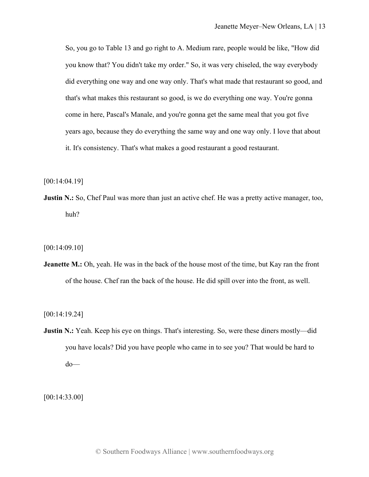So, you go to Table 13 and go right to A. Medium rare, people would be like, "How did you know that? You didn't take my order." So, it was very chiseled, the way everybody did everything one way and one way only. That's what made that restaurant so good, and that's what makes this restaurant so good, is we do everything one way. You're gonna come in here, Pascal's Manale, and you're gonna get the same meal that you got five years ago, because they do everything the same way and one way only. I love that about it. It's consistency. That's what makes a good restaurant a good restaurant.

[00:14:04.19]

**Justin N.:** So, Chef Paul was more than just an active chef. He was a pretty active manager, too, huh?

[00:14:09.10]

**Jeanette M.:** Oh, yeah. He was in the back of the house most of the time, but Kay ran the front of the house. Chef ran the back of the house. He did spill over into the front, as well.

[00:14:19.24]

**Justin N.:** Yeah. Keep his eye on things. That's interesting. So, were these diners mostly—did you have locals? Did you have people who came in to see you? That would be hard to do—

[00:14:33.00]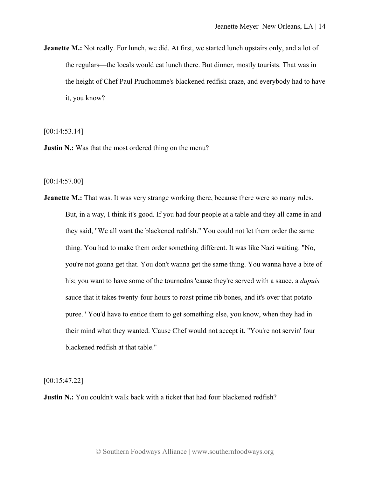**Jeanette M.:** Not really. For lunch, we did. At first, we started lunch upstairs only, and a lot of the regulars—the locals would eat lunch there. But dinner, mostly tourists. That was in the height of Chef Paul Prudhomme's blackened redfish craze, and everybody had to have it, you know?

[00:14:53.14]

**Justin N.:** Was that the most ordered thing on the menu?

[00:14:57.00]

**Jeanette M.:** That was. It was very strange working there, because there were so many rules. But, in a way, I think it's good. If you had four people at a table and they all came in and they said, "We all want the blackened redfish." You could not let them order the same thing. You had to make them order something different. It was like Nazi waiting. "No, you're not gonna get that. You don't wanna get the same thing. You wanna have a bite of his; you want to have some of the tournedos 'cause they're served with a sauce, a *dupuis*  sauce that it takes twenty-four hours to roast prime rib bones, and it's over that potato puree." You'd have to entice them to get something else, you know, when they had in their mind what they wanted. 'Cause Chef would not accept it. "You're not servin' four blackened redfish at that table."

[00:15:47.22]

**Justin N.:** You couldn't walk back with a ticket that had four blackened redfish?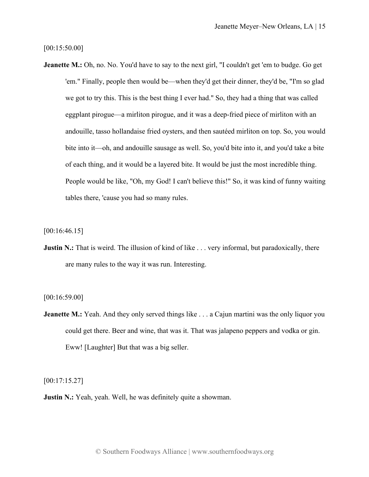[00:15:50.00]

**Jeanette M.:** Oh, no. No. You'd have to say to the next girl, "I couldn't get 'em to budge. Go get 'em." Finally, people then would be—when they'd get their dinner, they'd be, "I'm so glad we got to try this. This is the best thing I ever had." So, they had a thing that was called eggplant pirogue—a mirliton pirogue, and it was a deep-fried piece of mirliton with an andouille, tasso hollandaise fried oysters, and then sautéed mirliton on top. So, you would bite into it—oh, and andouille sausage as well. So, you'd bite into it, and you'd take a bite of each thing, and it would be a layered bite. It would be just the most incredible thing. People would be like, "Oh, my God! I can't believe this!" So, it was kind of funny waiting tables there, 'cause you had so many rules.

[00:16:46.15]

**Justin N.:** That is weird. The illusion of kind of like . . . very informal, but paradoxically, there are many rules to the way it was run. Interesting.

[00:16:59.00]

**Jeanette M.:** Yeah. And they only served things like . . . a Cajun martini was the only liquor you could get there. Beer and wine, that was it. That was jalapeno peppers and vodka or gin. Eww! [Laughter] But that was a big seller.

[00:17:15.27]

**Justin N.:** Yeah, yeah. Well, he was definitely quite a showman.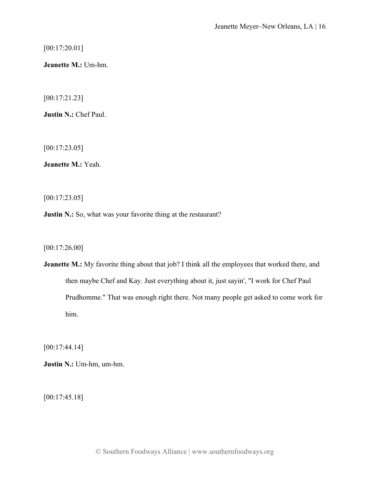[00:17:20.01]

**Jeanette M.:** Um-hm.

[00:17:21.23]

**Justin N.:** Chef Paul.

[00:17:23.05]

**Jeanette M.:** Yeah.

[00:17:23.05]

**Justin N.:** So, what was your favorite thing at the restaurant?

[00:17:26.00]

**Jeanette M.:** My favorite thing about that job? I think all the employees that worked there, and then maybe Chef and Kay. Just everything about it, just sayin', "I work for Chef Paul Prudhomme." That was enough right there. Not many people get asked to come work for him.

[00:17:44.14]

**Justin N.:** Um-hm, um-hm.

[00:17:45.18]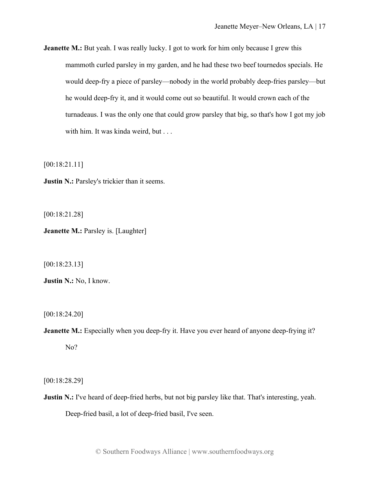**Jeanette M.:** But yeah. I was really lucky. I got to work for him only because I grew this mammoth curled parsley in my garden, and he had these two beef tournedos specials. He would deep-fry a piece of parsley—nobody in the world probably deep-fries parsley—but he would deep-fry it, and it would come out so beautiful. It would crown each of the turnadeaus. I was the only one that could grow parsley that big, so that's how I got my job with him. It was kinda weird, but . . .

[00:18:21.11]

**Justin N.:** Parsley's trickier than it seems.

[00:18:21.28]

**Jeanette M.: Parsley is. [Laughter]** 

[00:18:23.13]

**Justin N.:** No, I know.

[00:18:24.20]

**Jeanette M.:** Especially when you deep-fry it. Have you ever heard of anyone deep-frying it? No?

[00:18:28.29]

**Justin N.:** I've heard of deep-fried herbs, but not big parsley like that. That's interesting, yeah. Deep-fried basil, a lot of deep-fried basil, I've seen.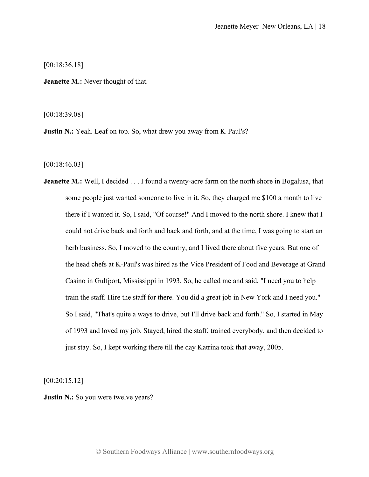[00:18:36.18]

**Jeanette M.:** Never thought of that.

[00:18:39.08]

**Justin N.:** Yeah. Leaf on top. So, what drew you away from K-Paul's?

[00:18:46.03]

**Jeanette M.:** Well, I decided . . . I found a twenty-acre farm on the north shore in Bogalusa, that some people just wanted someone to live in it. So, they charged me \$100 a month to live there if I wanted it. So, I said, "Of course!" And I moved to the north shore. I knew that I could not drive back and forth and back and forth, and at the time, I was going to start an herb business. So, I moved to the country, and I lived there about five years. But one of the head chefs at K-Paul's was hired as the Vice President of Food and Beverage at Grand Casino in Gulfport, Mississippi in 1993. So, he called me and said, "I need you to help train the staff. Hire the staff for there. You did a great job in New York and I need you." So I said, "That's quite a ways to drive, but I'll drive back and forth." So, I started in May of 1993 and loved my job. Stayed, hired the staff, trained everybody, and then decided to just stay. So, I kept working there till the day Katrina took that away, 2005.

[00:20:15.12]

**Justin N.:** So you were twelve years?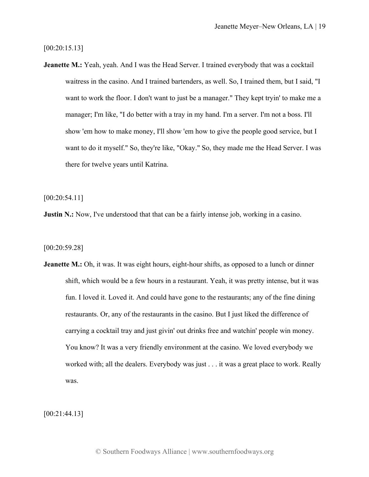[00:20:15.13]

**Jeanette M.:** Yeah, yeah. And I was the Head Server. I trained everybody that was a cocktail waitress in the casino. And I trained bartenders, as well. So, I trained them, but I said, "I want to work the floor. I don't want to just be a manager." They kept tryin' to make me a manager; I'm like, "I do better with a tray in my hand. I'm a server. I'm not a boss. I'll show 'em how to make money, I'll show 'em how to give the people good service, but I want to do it myself." So, they're like, "Okay." So, they made me the Head Server. I was there for twelve years until Katrina.

[00:20:54.11]

**Justin N.:** Now, I've understood that that can be a fairly intense job, working in a casino.

[00:20:59.28]

**Jeanette M.:** Oh, it was. It was eight hours, eight-hour shifts, as opposed to a lunch or dinner shift, which would be a few hours in a restaurant. Yeah, it was pretty intense, but it was fun. I loved it. Loved it. And could have gone to the restaurants; any of the fine dining restaurants. Or, any of the restaurants in the casino. But I just liked the difference of carrying a cocktail tray and just givin' out drinks free and watchin' people win money. You know? It was a very friendly environment at the casino. We loved everybody we worked with; all the dealers. Everybody was just . . . it was a great place to work. Really was.

[00:21:44.13]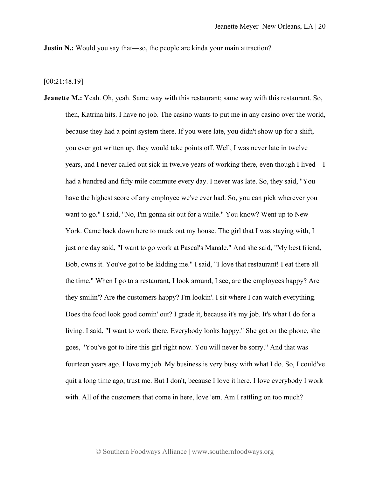**Justin N.:** Would you say that—so, the people are kinda your main attraction?

[00:21:48.19]

**Jeanette M.:** Yeah. Oh, yeah. Same way with this restaurant; same way with this restaurant. So, then, Katrina hits. I have no job. The casino wants to put me in any casino over the world, because they had a point system there. If you were late, you didn't show up for a shift, you ever got written up, they would take points off. Well, I was never late in twelve years, and I never called out sick in twelve years of working there, even though I lived—I had a hundred and fifty mile commute every day. I never was late. So, they said, "You have the highest score of any employee we've ever had. So, you can pick wherever you want to go." I said, "No, I'm gonna sit out for a while." You know? Went up to New York. Came back down here to muck out my house. The girl that I was staying with, I just one day said, "I want to go work at Pascal's Manale." And she said, "My best friend, Bob, owns it. You've got to be kidding me." I said, "I love that restaurant! I eat there all the time." When I go to a restaurant, I look around, I see, are the employees happy? Are they smilin'? Are the customers happy? I'm lookin'. I sit where I can watch everything. Does the food look good comin' out? I grade it, because it's my job. It's what I do for a living. I said, "I want to work there. Everybody looks happy." She got on the phone, she goes, "You've got to hire this girl right now. You will never be sorry." And that was fourteen years ago. I love my job. My business is very busy with what I do. So, I could've quit a long time ago, trust me. But I don't, because I love it here. I love everybody I work with. All of the customers that come in here, love 'em. Am I rattling on too much?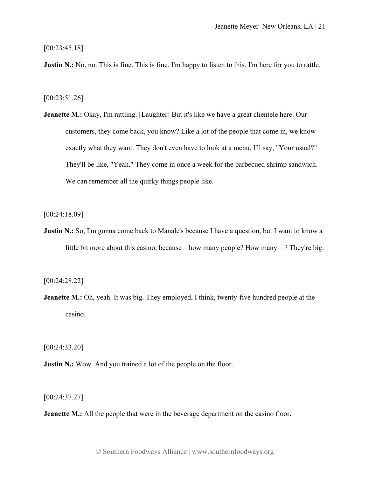[00:23:45.18]

**Justin N.:** No, no. This is fine. This is fine. I'm happy to listen to this. I'm here for you to rattle.

[00:23:51.26]

**Jeanette M.:** Okay, I'm rattling. [Laughter] But it's like we have a great clientele here. Our customers, they come back, you know? Like a lot of the people that come in, we know exactly what they want. They don't even have to look at a menu. I'll say, "Your usual?" They'll be like, "Yeah." They come in once a week for the barbecued shrimp sandwich. We can remember all the quirky things people like.

[00:24:18.09]

**Justin N.:** So, I'm gonna come back to Manale's because I have a question, but I want to know a little bit more about this casino, because—how many people? How many—? They're big.

[00:24:28.22]

**Jeanette M.:** Oh, yeah. It was big. They employed, I think, twenty-five hundred people at the casino.

[00:24:33.20]

**Justin N.:** Wow. And you trained a lot of the people on the floor.

[00:24:37.27]

**Jeanette M.:** All the people that were in the beverage department on the casino floor.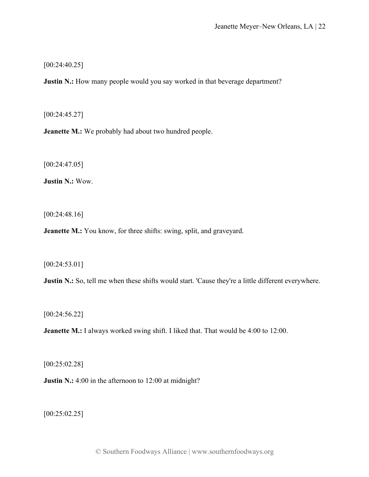[00:24:40.25]

**Justin N.:** How many people would you say worked in that beverage department?

[00:24:45.27]

**Jeanette M.:** We probably had about two hundred people.

[00:24:47.05]

**Justin N.:** Wow.

[00:24:48.16]

**Jeanette M.:** You know, for three shifts: swing, split, and graveyard.

[00:24:53.01]

**Justin N.:** So, tell me when these shifts would start. 'Cause they're a little different everywhere.

[00:24:56.22]

**Jeanette M.:** I always worked swing shift. I liked that. That would be 4:00 to 12:00.

[00:25:02.28]

**Justin N.:** 4:00 in the afternoon to 12:00 at midnight?

[00:25:02.25]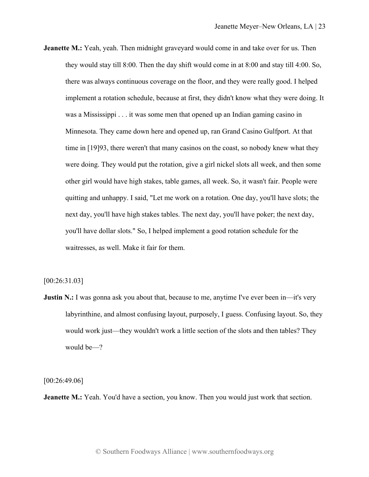**Jeanette M.:** Yeah, yeah. Then midnight graveyard would come in and take over for us. Then they would stay till 8:00. Then the day shift would come in at 8:00 and stay till 4:00. So, there was always continuous coverage on the floor, and they were really good. I helped implement a rotation schedule, because at first, they didn't know what they were doing. It was a Mississippi . . . it was some men that opened up an Indian gaming casino in Minnesota. They came down here and opened up, ran Grand Casino Gulfport. At that time in [19]93, there weren't that many casinos on the coast, so nobody knew what they were doing. They would put the rotation, give a girl nickel slots all week, and then some other girl would have high stakes, table games, all week. So, it wasn't fair. People were quitting and unhappy. I said, "Let me work on a rotation. One day, you'll have slots; the next day, you'll have high stakes tables. The next day, you'll have poker; the next day, you'll have dollar slots." So, I helped implement a good rotation schedule for the waitresses, as well. Make it fair for them.

[00:26:31.03]

**Justin N.:** I was gonna ask you about that, because to me, anytime I've ever been in—it's very labyrinthine, and almost confusing layout, purposely, I guess. Confusing layout. So, they would work just—they wouldn't work a little section of the slots and then tables? They would be—?

[00:26:49.06]

**Jeanette M.:** Yeah. You'd have a section, you know. Then you would just work that section.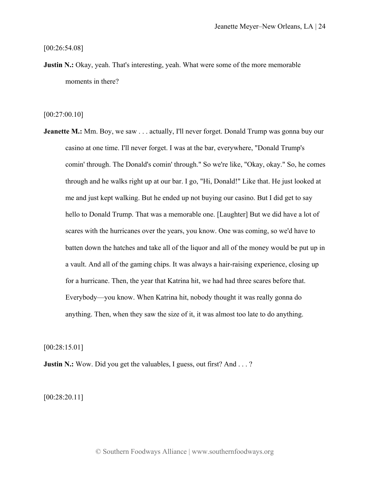[00:26:54.08]

**Justin N.:** Okay, yeah. That's interesting, yeah. What were some of the more memorable moments in there?

[00:27:00.10]

**Jeanette M.:** Mm. Boy, we saw . . . actually, I'll never forget. Donald Trump was gonna buy our casino at one time. I'll never forget. I was at the bar, everywhere, "Donald Trump's comin' through. The Donald's comin' through." So we're like, "Okay, okay." So, he comes through and he walks right up at our bar. I go, "Hi, Donald!" Like that. He just looked at me and just kept walking. But he ended up not buying our casino. But I did get to say hello to Donald Trump. That was a memorable one. [Laughter] But we did have a lot of scares with the hurricanes over the years, you know. One was coming, so we'd have to batten down the hatches and take all of the liquor and all of the money would be put up in a vault. And all of the gaming chips. It was always a hair-raising experience, closing up for a hurricane. Then, the year that Katrina hit, we had had three scares before that. Everybody—you know. When Katrina hit, nobody thought it was really gonna do anything. Then, when they saw the size of it, it was almost too late to do anything.

[00:28:15.01]

**Justin N.:** Wow. Did you get the valuables, I guess, out first? And . . . ?

[00:28:20.11]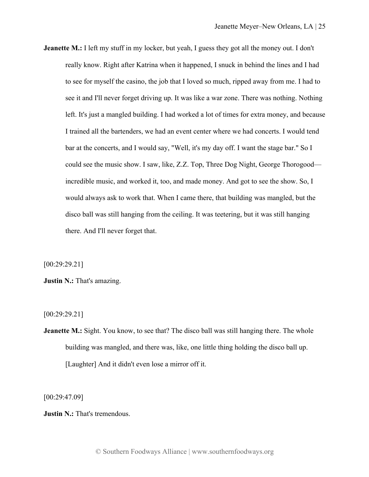**Jeanette M.:** I left my stuff in my locker, but yeah, I guess they got all the money out. I don't really know. Right after Katrina when it happened, I snuck in behind the lines and I had to see for myself the casino, the job that I loved so much, ripped away from me. I had to see it and I'll never forget driving up. It was like a war zone. There was nothing. Nothing left. It's just a mangled building. I had worked a lot of times for extra money, and because I trained all the bartenders, we had an event center where we had concerts. I would tend bar at the concerts, and I would say, "Well, it's my day off. I want the stage bar." So I could see the music show. I saw, like, Z.Z. Top, Three Dog Night, George Thorogood incredible music, and worked it, too, and made money. And got to see the show. So, I would always ask to work that. When I came there, that building was mangled, but the disco ball was still hanging from the ceiling. It was teetering, but it was still hanging there. And I'll never forget that.

[00:29:29.21]

**Justin N.:** That's amazing.

[00:29:29.21]

**Jeanette M.:** Sight. You know, to see that? The disco ball was still hanging there. The whole building was mangled, and there was, like, one little thing holding the disco ball up. [Laughter] And it didn't even lose a mirror off it.

[00:29:47.09]

**Justin N.:** That's tremendous.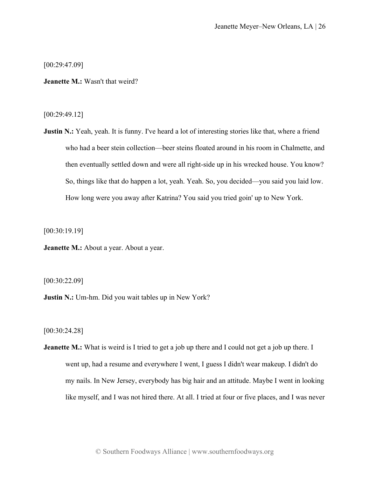[00:29:47.09]

**Jeanette M.:** Wasn't that weird?

[00:29:49.12]

**Justin N.:** Yeah, yeah. It is funny. I've heard a lot of interesting stories like that, where a friend who had a beer stein collection—beer steins floated around in his room in Chalmette, and then eventually settled down and were all right-side up in his wrecked house. You know? So, things like that do happen a lot, yeah. Yeah. So, you decided—you said you laid low. How long were you away after Katrina? You said you tried goin' up to New York.

[00:30:19.19]

**Jeanette M.:** About a year. About a year.

[00:30:22.09]

**Justin N.:** Um-hm. Did you wait tables up in New York?

[00:30:24.28]

**Jeanette M.:** What is weird is I tried to get a job up there and I could not get a job up there. I went up, had a resume and everywhere I went, I guess I didn't wear makeup. I didn't do my nails. In New Jersey, everybody has big hair and an attitude. Maybe I went in looking like myself, and I was not hired there. At all. I tried at four or five places, and I was never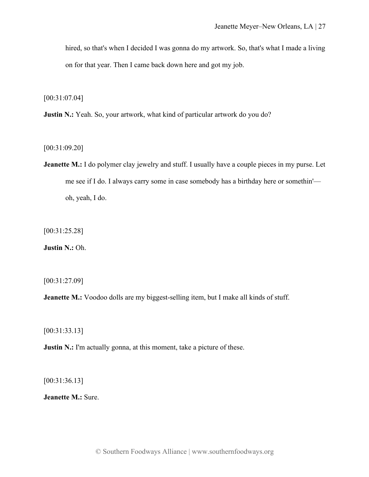hired, so that's when I decided I was gonna do my artwork. So, that's what I made a living on for that year. Then I came back down here and got my job.

[00:31:07.04]

**Justin N.:** Yeah. So, your artwork, what kind of particular artwork do you do?

[00:31:09.20]

**Jeanette M.:** I do polymer clay jewelry and stuff. I usually have a couple pieces in my purse. Let me see if I do. I always carry some in case somebody has a birthday here or somethin' oh, yeah, I do.

[00:31:25.28]

**Justin N.:** Oh.

[00:31:27.09]

**Jeanette M.:** Voodoo dolls are my biggest-selling item, but I make all kinds of stuff.

[00:31:33.13]

**Justin N.:** I'm actually gonna, at this moment, take a picture of these.

[00:31:36.13]

**Jeanette M.:** Sure.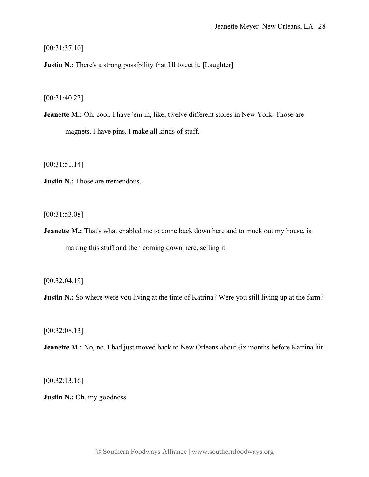[00:31:37.10]

**Justin N.:** There's a strong possibility that I'll tweet it. [Laughter]

[00:31:40.23]

**Jeanette M.:** Oh, cool. I have 'em in, like, twelve different stores in New York. Those are magnets. I have pins. I make all kinds of stuff.

[00:31:51.14]

**Justin N.:** Those are tremendous.

[00:31:53.08]

**Jeanette M.:** That's what enabled me to come back down here and to muck out my house, is making this stuff and then coming down here, selling it.

[00:32:04.19]

**Justin N.:** So where were you living at the time of Katrina? Were you still living up at the farm?

[00:32:08.13]

**Jeanette M.:** No, no. I had just moved back to New Orleans about six months before Katrina hit.

[00:32:13.16]

**Justin N.:** Oh, my goodness.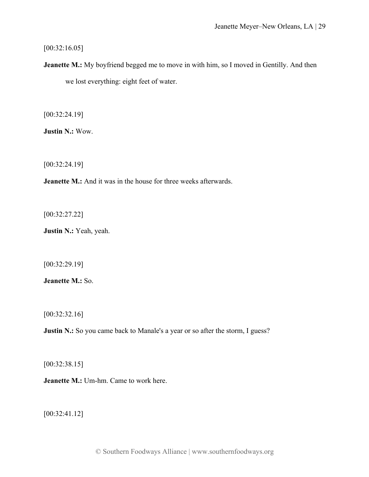## $[00:32:16.05]$

**Jeanette M.:** My boyfriend begged me to move in with him, so I moved in Gentilly. And then we lost everything: eight feet of water.

[00:32:24.19]

**Justin N.:** Wow.

[00:32:24.19]

**Jeanette M.:** And it was in the house for three weeks afterwards.

[00:32:27.22]

**Justin N.:** Yeah, yeah.

[00:32:29.19]

**Jeanette M.:** So.

[00:32:32.16]

**Justin N.:** So you came back to Manale's a year or so after the storm, I guess?

[00:32:38.15]

**Jeanette M.:** Um-hm. Came to work here.

[00:32:41.12]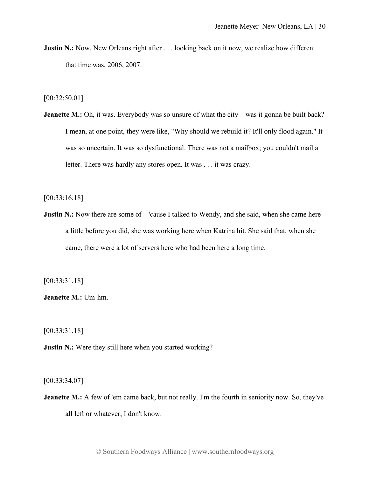**Justin N.:** Now, New Orleans right after . . . looking back on it now, we realize how different that time was, 2006, 2007.

[00:32:50.01]

**Jeanette M.:** Oh, it was. Everybody was so unsure of what the city—was it gonna be built back? I mean, at one point, they were like, "Why should we rebuild it? It'll only flood again." It was so uncertain. It was so dysfunctional. There was not a mailbox; you couldn't mail a letter. There was hardly any stores open. It was . . . it was crazy.

[00:33:16.18]

**Justin N.:** Now there are some of—'cause I talked to Wendy, and she said, when she came here a little before you did, she was working here when Katrina hit. She said that, when she came, there were a lot of servers here who had been here a long time.

[00:33:31.18]

**Jeanette M.:** Um-hm.

[00:33:31.18]

**Justin N.:** Were they still here when you started working?

[00:33:34.07]

**Jeanette M.:** A few of 'em came back, but not really. I'm the fourth in seniority now. So, they've all left or whatever, I don't know.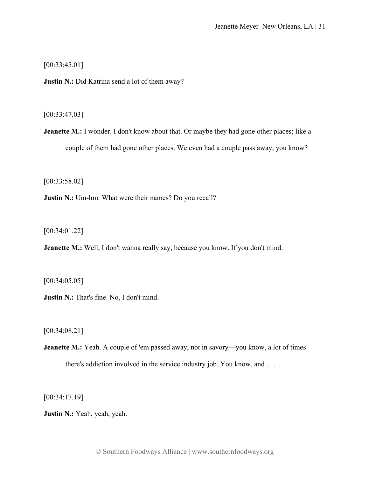[00:33:45.01]

**Justin N.:** Did Katrina send a lot of them away?

[00:33:47.03]

**Jeanette M.:** I wonder. I don't know about that. Or maybe they had gone other places; like a couple of them had gone other places. We even had a couple pass away, you know?

[00:33:58.02]

**Justin N.:** Um-hm. What were their names? Do you recall?

[00:34:01.22]

**Jeanette M.:** Well, I don't wanna really say, because you know. If you don't mind.

[00:34:05.05]

**Justin N.:** That's fine. No, I don't mind.

[00:34:08.21]

**Jeanette M.:** Yeah. A couple of 'em passed away, not in savory—you know, a lot of times there's addiction involved in the service industry job. You know, and . . .

[00:34:17.19]

**Justin N.:** Yeah, yeah, yeah.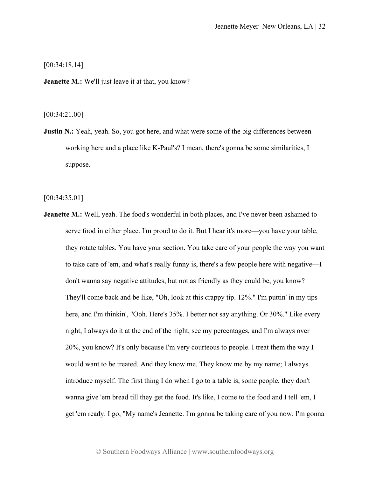[00:34:18.14]

**Jeanette M.:** We'll just leave it at that, you know?

[00:34:21.00]

**Justin N.:** Yeah, yeah. So, you got here, and what were some of the big differences between working here and a place like K-Paul's? I mean, there's gonna be some similarities, I suppose.

[00:34:35.01]

**Jeanette M.:** Well, yeah. The food's wonderful in both places, and I've never been ashamed to serve food in either place. I'm proud to do it. But I hear it's more—you have your table, they rotate tables. You have your section. You take care of your people the way you want to take care of 'em, and what's really funny is, there's a few people here with negative—I don't wanna say negative attitudes, but not as friendly as they could be, you know? They'll come back and be like, "Oh, look at this crappy tip. 12%." I'm puttin' in my tips here, and I'm thinkin', "Ooh. Here's 35%. I better not say anything. Or 30%." Like every night, I always do it at the end of the night, see my percentages, and I'm always over 20%, you know? It's only because I'm very courteous to people. I treat them the way I would want to be treated. And they know me. They know me by my name; I always introduce myself. The first thing I do when I go to a table is, some people, they don't wanna give 'em bread till they get the food. It's like, I come to the food and I tell 'em, I get 'em ready. I go, "My name's Jeanette. I'm gonna be taking care of you now. I'm gonna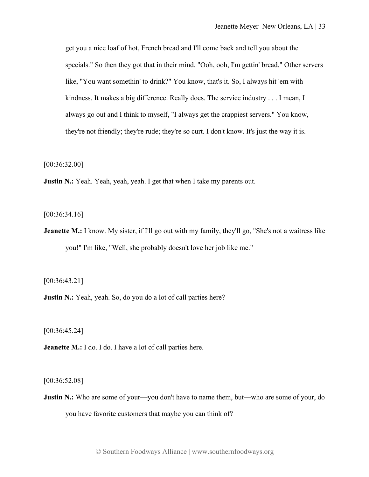get you a nice loaf of hot, French bread and I'll come back and tell you about the specials." So then they got that in their mind. "Ooh, ooh, I'm gettin' bread." Other servers like, "You want somethin' to drink?" You know, that's it. So, I always hit 'em with kindness. It makes a big difference. Really does. The service industry . . . I mean, I always go out and I think to myself, "I always get the crappiest servers." You know, they're not friendly; they're rude; they're so curt. I don't know. It's just the way it is.

[00:36:32.00]

**Justin N.:** Yeah. Yeah, yeah, yeah. I get that when I take my parents out.

[00:36:34.16]

**Jeanette M.:** I know. My sister, if I'll go out with my family, they'll go, "She's not a waitress like you!" I'm like, "Well, she probably doesn't love her job like me."

[00:36:43.21]

**Justin N.:** Yeah, yeah. So, do you do a lot of call parties here?

[00:36:45.24]

**Jeanette M.:** I do. I do. I have a lot of call parties here.

[00:36:52.08]

**Justin N.:** Who are some of your—you don't have to name them, but—who are some of your, do you have favorite customers that maybe you can think of?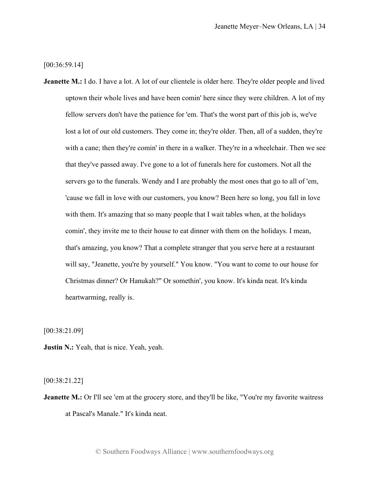[00:36:59.14]

**Jeanette M.:** I do. I have a lot. A lot of our clientele is older here. They're older people and lived uptown their whole lives and have been comin' here since they were children. A lot of my fellow servers don't have the patience for 'em. That's the worst part of this job is, we've lost a lot of our old customers. They come in; they're older. Then, all of a sudden, they're with a cane; then they're comin' in there in a walker. They're in a wheelchair. Then we see that they've passed away. I've gone to a lot of funerals here for customers. Not all the servers go to the funerals. Wendy and I are probably the most ones that go to all of 'em, 'cause we fall in love with our customers, you know? Been here so long, you fall in love with them. It's amazing that so many people that I wait tables when, at the holidays comin', they invite me to their house to eat dinner with them on the holidays. I mean, that's amazing, you know? That a complete stranger that you serve here at a restaurant will say, "Jeanette, you're by yourself." You know. "You want to come to our house for Christmas dinner? Or Hanukah?" Or somethin', you know. It's kinda neat. It's kinda heartwarming, really is.

[00:38:21.09]

**Justin N.:** Yeah, that is nice. Yeah, yeah.

[00:38:21.22]

**Jeanette M.:** Or I'll see 'em at the grocery store, and they'll be like, "You're my favorite waitress at Pascal's Manale." It's kinda neat.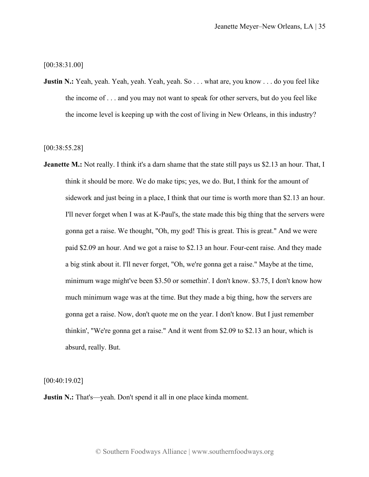[00:38:31.00]

**Justin N.:** Yeah, yeah. Yeah, yeah. Yeah, yeah. So . . . what are, you know . . . do you feel like the income of . . . and you may not want to speak for other servers, but do you feel like the income level is keeping up with the cost of living in New Orleans, in this industry?

[00:38:55.28]

**Jeanette M.:** Not really. I think it's a darn shame that the state still pays us \$2.13 an hour. That, I think it should be more. We do make tips; yes, we do. But, I think for the amount of sidework and just being in a place, I think that our time is worth more than \$2.13 an hour. I'll never forget when I was at K-Paul's, the state made this big thing that the servers were gonna get a raise. We thought, "Oh, my god! This is great. This is great." And we were paid \$2.09 an hour. And we got a raise to \$2.13 an hour. Four-cent raise. And they made a big stink about it. I'll never forget, "Oh, we're gonna get a raise." Maybe at the time, minimum wage might've been \$3.50 or somethin'. I don't know. \$3.75, I don't know how much minimum wage was at the time. But they made a big thing, how the servers are gonna get a raise. Now, don't quote me on the year. I don't know. But I just remember thinkin', "We're gonna get a raise." And it went from \$2.09 to \$2.13 an hour, which is absurd, really. But.

[00:40:19.02]

**Justin N.:** That's—yeah. Don't spend it all in one place kinda moment.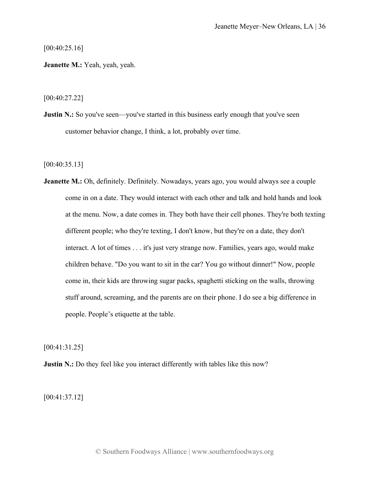[00:40:25.16]

**Jeanette M.:** Yeah, yeah, yeah.

[00:40:27.22]

**Justin N.:** So you've seen—you've started in this business early enough that you've seen customer behavior change, I think, a lot, probably over time.

[00:40:35.13]

**Jeanette M.:** Oh, definitely. Definitely. Nowadays, years ago, you would always see a couple come in on a date. They would interact with each other and talk and hold hands and look at the menu. Now, a date comes in. They both have their cell phones. They're both texting different people; who they're texting, I don't know, but they're on a date, they don't interact. A lot of times . . . it's just very strange now. Families, years ago, would make children behave. "Do you want to sit in the car? You go without dinner!" Now, people come in, their kids are throwing sugar packs, spaghetti sticking on the walls, throwing stuff around, screaming, and the parents are on their phone. I do see a big difference in people. People's etiquette at the table.

[00:41:31.25]

**Justin N.:** Do they feel like you interact differently with tables like this now?

[00:41:37.12]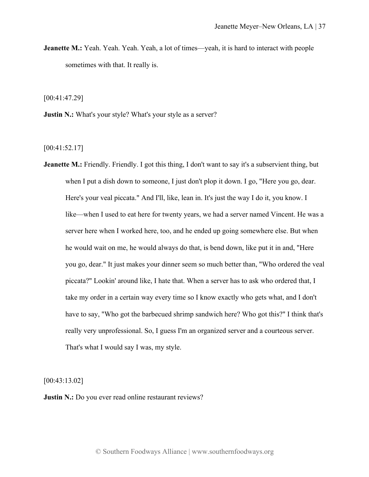**Jeanette M.:** Yeah. Yeah. Yeah. Yeah, a lot of times—yeah, it is hard to interact with people sometimes with that. It really is.

[00:41:47.29]

**Justin N.:** What's your style? What's your style as a server?

[00:41:52.17]

**Jeanette M.:** Friendly. Friendly. I got this thing, I don't want to say it's a subservient thing, but when I put a dish down to someone, I just don't plop it down. I go, "Here you go, dear. Here's your veal piccata." And I'll, like, lean in. It's just the way I do it, you know. I like—when I used to eat here for twenty years, we had a server named Vincent. He was a server here when I worked here, too, and he ended up going somewhere else. But when he would wait on me, he would always do that, is bend down, like put it in and, "Here you go, dear." It just makes your dinner seem so much better than, "Who ordered the veal piccata?" Lookin' around like, I hate that. When a server has to ask who ordered that, I take my order in a certain way every time so I know exactly who gets what, and I don't have to say, "Who got the barbecued shrimp sandwich here? Who got this?" I think that's really very unprofessional. So, I guess I'm an organized server and a courteous server. That's what I would say I was, my style.

[00:43:13.02]

**Justin N.:** Do you ever read online restaurant reviews?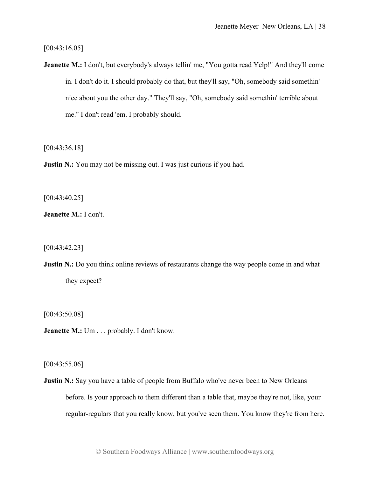[00:43:16.05]

**Jeanette M.:** I don't, but everybody's always tellin' me, "You gotta read Yelp!" And they'll come in. I don't do it. I should probably do that, but they'll say, "Oh, somebody said somethin' nice about you the other day." They'll say, "Oh, somebody said somethin' terrible about me." I don't read 'em. I probably should.

[00:43:36.18]

**Justin N.:** You may not be missing out. I was just curious if you had.

[00:43:40.25]

**Jeanette M.:** I don't.

[00:43:42.23]

**Justin N.:** Do you think online reviews of restaurants change the way people come in and what they expect?

[00:43:50.08]

**Jeanette M.:** Um . . . probably. I don't know.

[00:43:55.06]

**Justin N.:** Say you have a table of people from Buffalo who've never been to New Orleans before. Is your approach to them different than a table that, maybe they're not, like, your regular-regulars that you really know, but you've seen them. You know they're from here.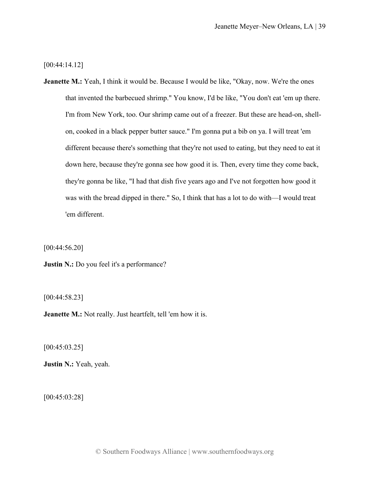[00:44:14.12]

**Jeanette M.:** Yeah, I think it would be. Because I would be like, "Okay, now. We're the ones that invented the barbecued shrimp." You know, I'd be like, "You don't eat 'em up there. I'm from New York, too. Our shrimp came out of a freezer. But these are head-on, shellon, cooked in a black pepper butter sauce." I'm gonna put a bib on ya. I will treat 'em different because there's something that they're not used to eating, but they need to eat it down here, because they're gonna see how good it is. Then, every time they come back, they're gonna be like, "I had that dish five years ago and I've not forgotten how good it was with the bread dipped in there." So, I think that has a lot to do with—I would treat 'em different.

[00:44:56.20]

**Justin N.:** Do you feel it's a performance?

[00:44:58.23]

**Jeanette M.:** Not really. Just heartfelt, tell 'em how it is.

[00:45:03.25]

**Justin N.:** Yeah, yeah.

[00:45:03:28]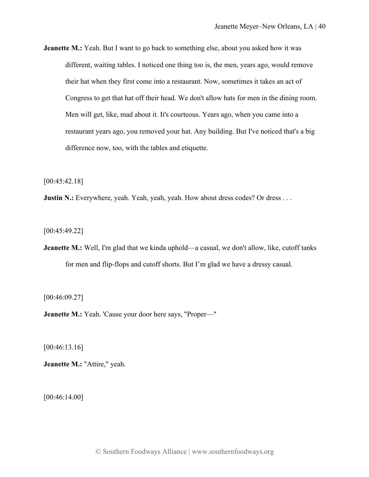**Jeanette M.:** Yeah. But I want to go back to something else, about you asked how it was different, waiting tables. I noticed one thing too is, the men, years ago, would remove their hat when they first come into a restaurant. Now, sometimes it takes an act of Congress to get that hat off their head. We don't allow hats for men in the dining room. Men will get, like, mad about it. It's courteous. Years ago, when you came into a restaurant years ago, you removed your hat. Any building. But I've noticed that's a big difference now, too, with the tables and etiquette.

[00:45:42.18]

**Justin N.:** Everywhere, yeah. Yeah, yeah, yeah. How about dress codes? Or dress . . .

[00:45:49.22]

**Jeanette M.:** Well, I'm glad that we kinda uphold—a casual, we don't allow, like, cutoff tanks for men and flip-flops and cutoff shorts. But I'm glad we have a dressy casual.

[00:46:09.27]

**Jeanette M.:** Yeah. 'Cause your door here says, "Proper—"

[00:46:13.16]

**Jeanette M.:** "Attire," yeah.

[00:46:14.00]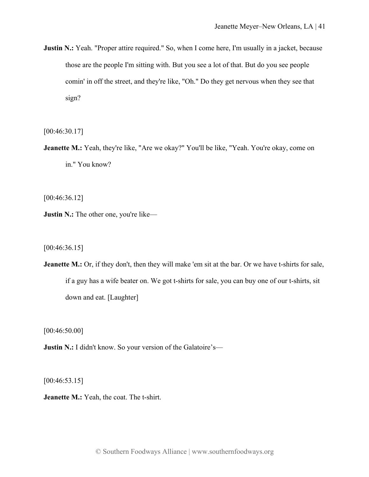**Justin N.:** Yeah. "Proper attire required." So, when I come here, I'm usually in a jacket, because those are the people I'm sitting with. But you see a lot of that. But do you see people comin' in off the street, and they're like, "Oh." Do they get nervous when they see that sign?

[00:46:30.17]

**Jeanette M.:** Yeah, they're like, "Are we okay?" You'll be like, "Yeah. You're okay, come on in." You know?

[00:46:36.12]

**Justin N.:** The other one, you're like—

[00:46:36.15]

**Jeanette M.:** Or, if they don't, then they will make 'em sit at the bar. Or we have t-shirts for sale, if a guy has a wife beater on. We got t-shirts for sale, you can buy one of our t-shirts, sit down and eat. [Laughter]

[00:46:50.00]

**Justin N.:** I didn't know. So your version of the Galatoire's—

[00:46:53.15]

**Jeanette M.:** Yeah, the coat. The t-shirt.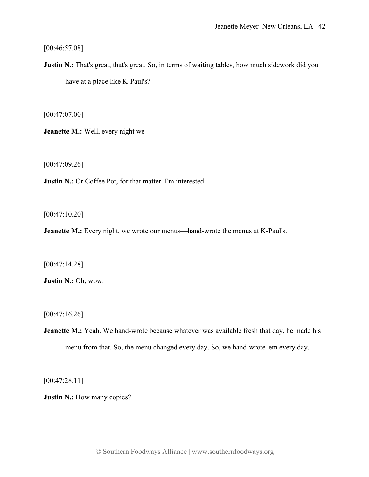[00:46:57.08]

**Justin N.:** That's great, that's great. So, in terms of waiting tables, how much sidework did you have at a place like K-Paul's?

[00:47:07.00]

**Jeanette M.:** Well, every night we—

[00:47:09.26]

**Justin N.:** Or Coffee Pot, for that matter. I'm interested.

[00:47:10.20]

**Jeanette M.:** Every night, we wrote our menus—hand-wrote the menus at K-Paul's.

[00:47:14.28]

**Justin N.:** Oh, wow.

[00:47:16.26]

**Jeanette M.:** Yeah. We hand-wrote because whatever was available fresh that day, he made his menu from that. So, the menu changed every day. So, we hand-wrote 'em every day.

[00:47:28.11]

**Justin N.:** How many copies?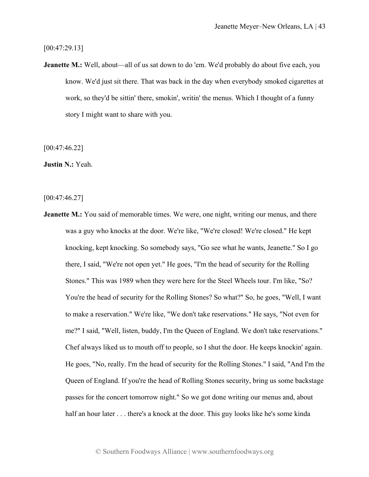[00:47:29.13]

**Jeanette M.:** Well, about—all of us sat down to do 'em. We'd probably do about five each, you know. We'd just sit there. That was back in the day when everybody smoked cigarettes at work, so they'd be sittin' there, smokin', writin' the menus. Which I thought of a funny story I might want to share with you.

[00:47:46.22]

**Justin N.:** Yeah.

[00:47:46.27]

**Jeanette M.:** You said of memorable times. We were, one night, writing our menus, and there was a guy who knocks at the door. We're like, "We're closed! We're closed." He kept knocking, kept knocking. So somebody says, "Go see what he wants, Jeanette." So I go there, I said, "We're not open yet." He goes, "I'm the head of security for the Rolling Stones." This was 1989 when they were here for the Steel Wheels tour. I'm like, "So? You're the head of security for the Rolling Stones? So what?" So, he goes, "Well, I want to make a reservation." We're like, "We don't take reservations." He says, "Not even for me?" I said, "Well, listen, buddy, I'm the Queen of England. We don't take reservations." Chef always liked us to mouth off to people, so I shut the door. He keeps knockin' again. He goes, "No, really. I'm the head of security for the Rolling Stones." I said, "And I'm the Queen of England. If you're the head of Rolling Stones security, bring us some backstage passes for the concert tomorrow night." So we got done writing our menus and, about half an hour later . . . there's a knock at the door. This guy looks like he's some kinda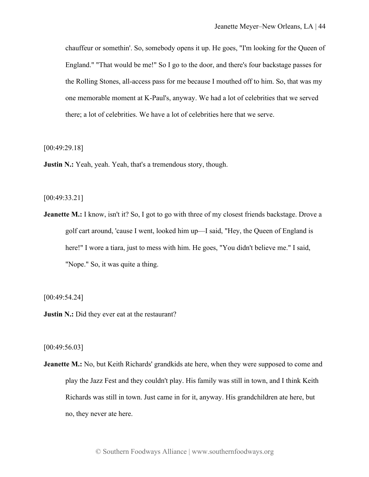chauffeur or somethin'. So, somebody opens it up. He goes, "I'm looking for the Queen of England." "That would be me!" So I go to the door, and there's four backstage passes for the Rolling Stones, all-access pass for me because I mouthed off to him. So, that was my one memorable moment at K-Paul's, anyway. We had a lot of celebrities that we served there; a lot of celebrities. We have a lot of celebrities here that we serve.

[00:49:29.18]

**Justin N.:** Yeah, yeah. Yeah, that's a tremendous story, though.

## [00:49:33.21]

**Jeanette M.:** I know, isn't it? So, I got to go with three of my closest friends backstage. Drove a golf cart around, 'cause I went, looked him up—I said, "Hey, the Queen of England is here!" I wore a tiara, just to mess with him. He goes, "You didn't believe me." I said, "Nope." So, it was quite a thing.

[00:49:54.24]

**Justin N.:** Did they ever eat at the restaurant?

[00:49:56.03]

**Jeanette M.:** No, but Keith Richards' grandkids ate here, when they were supposed to come and play the Jazz Fest and they couldn't play. His family was still in town, and I think Keith Richards was still in town. Just came in for it, anyway. His grandchildren ate here, but no, they never ate here.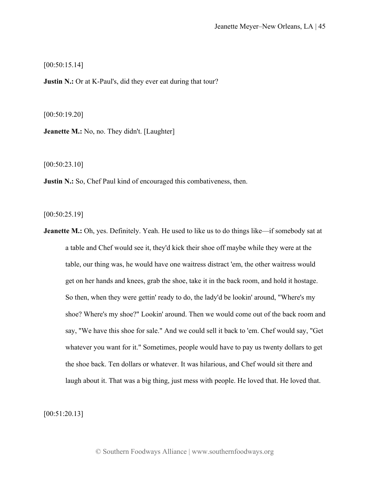[00:50:15.14]

**Justin N.:** Or at K-Paul's, did they ever eat during that tour?

[00:50:19.20]

**Jeanette M.:** No, no. They didn't. [Laughter]

[00:50:23.10]

**Justin N.:** So, Chef Paul kind of encouraged this combativeness, then.

[00:50:25.19]

**Jeanette M.:** Oh, yes. Definitely. Yeah. He used to like us to do things like—if somebody sat at a table and Chef would see it, they'd kick their shoe off maybe while they were at the table, our thing was, he would have one waitress distract 'em, the other waitress would get on her hands and knees, grab the shoe, take it in the back room, and hold it hostage. So then, when they were gettin' ready to do, the lady'd be lookin' around, "Where's my shoe? Where's my shoe?" Lookin' around. Then we would come out of the back room and say, "We have this shoe for sale." And we could sell it back to 'em. Chef would say, "Get whatever you want for it." Sometimes, people would have to pay us twenty dollars to get the shoe back. Ten dollars or whatever. It was hilarious, and Chef would sit there and laugh about it. That was a big thing, just mess with people. He loved that. He loved that.

[00:51:20.13]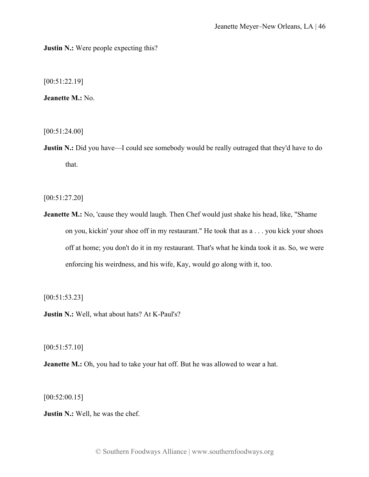**Justin N.:** Were people expecting this?

[00:51:22.19]

**Jeanette M.:** No.

[00:51:24.00]

**Justin N.:** Did you have—I could see somebody would be really outraged that they'd have to do that.

[00:51:27.20]

**Jeanette M.:** No, 'cause they would laugh. Then Chef would just shake his head, like, "Shame on you, kickin' your shoe off in my restaurant." He took that as a . . . you kick your shoes off at home; you don't do it in my restaurant. That's what he kinda took it as. So, we were enforcing his weirdness, and his wife, Kay, would go along with it, too.

[00:51:53.23]

**Justin N.:** Well, what about hats? At K-Paul's?

[00:51:57.10]

**Jeanette M.:** Oh, you had to take your hat off. But he was allowed to wear a hat.

[00:52:00.15]

**Justin N.:** Well, he was the chef.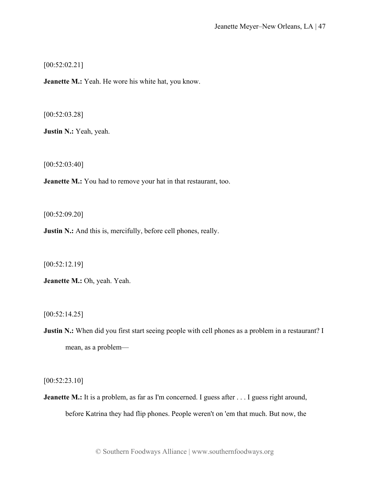[00:52:02.21]

**Jeanette M.:** Yeah. He wore his white hat, you know.

[00:52:03.28]

**Justin N.:** Yeah, yeah.

[00:52:03:40]

**Jeanette M.:** You had to remove your hat in that restaurant, too.

[00:52:09.20]

**Justin N.:** And this is, mercifully, before cell phones, really.

[00:52:12.19]

**Jeanette M.:** Oh, yeah. Yeah.

[00:52:14.25]

**Justin N.:** When did you first start seeing people with cell phones as a problem in a restaurant? I mean, as a problem—

[00:52:23.10]

**Jeanette M.:** It is a problem, as far as I'm concerned. I guess after . . . I guess right around, before Katrina they had flip phones. People weren't on 'em that much. But now, the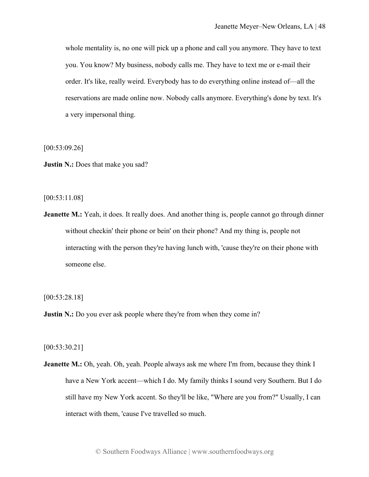whole mentality is, no one will pick up a phone and call you anymore. They have to text you. You know? My business, nobody calls me. They have to text me or e-mail their order. It's like, really weird. Everybody has to do everything online instead of—all the reservations are made online now. Nobody calls anymore. Everything's done by text. It's a very impersonal thing.

[00:53:09.26]

**Justin N.:** Does that make you sad?

[00:53:11.08]

**Jeanette M.:** Yeah, it does. It really does. And another thing is, people cannot go through dinner without checkin' their phone or bein' on their phone? And my thing is, people not interacting with the person they're having lunch with, 'cause they're on their phone with someone else.

[00:53:28.18]

**Justin N.:** Do you ever ask people where they're from when they come in?

[00:53:30.21]

**Jeanette M.:** Oh, yeah. Oh, yeah. People always ask me where I'm from, because they think I have a New York accent—which I do. My family thinks I sound very Southern. But I do still have my New York accent. So they'll be like, "Where are you from?" Usually, I can interact with them, 'cause I've travelled so much.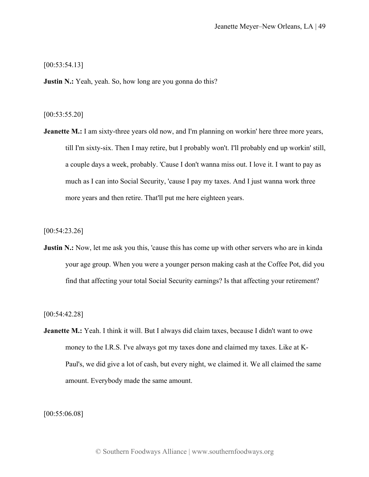[00:53:54.13]

**Justin N.:** Yeah, yeah. So, how long are you gonna do this?

## [00:53:55.20]

**Jeanette M.:** I am sixty-three years old now, and I'm planning on workin' here three more years, till I'm sixty-six. Then I may retire, but I probably won't. I'll probably end up workin' still, a couple days a week, probably. 'Cause I don't wanna miss out. I love it. I want to pay as much as I can into Social Security, 'cause I pay my taxes. And I just wanna work three more years and then retire. That'll put me here eighteen years.

[00:54:23.26]

**Justin N.:** Now, let me ask you this, 'cause this has come up with other servers who are in kinda your age group. When you were a younger person making cash at the Coffee Pot, did you find that affecting your total Social Security earnings? Is that affecting your retirement?

[00:54:42.28]

**Jeanette M.:** Yeah. I think it will. But I always did claim taxes, because I didn't want to owe money to the I.R.S. I've always got my taxes done and claimed my taxes. Like at K-Paul's, we did give a lot of cash, but every night, we claimed it. We all claimed the same amount. Everybody made the same amount.

[00:55:06.08]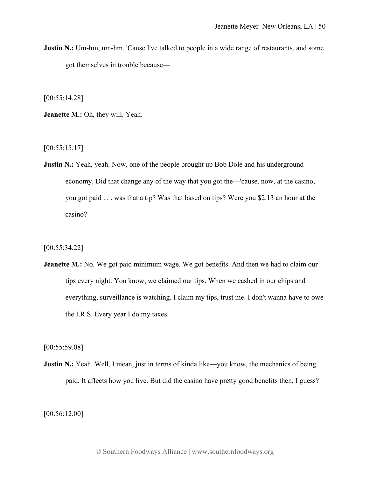**Justin N.:** Um-hm, um-hm. 'Cause I've talked to people in a wide range of restaurants, and some got themselves in trouble because—

[00:55:14.28]

**Jeanette M.:** Oh, they will. Yeah.

[00:55:15.17]

**Justin N.:** Yeah, yeah. Now, one of the people brought up Bob Dole and his underground economy. Did that change any of the way that you got the—'cause, now, at the casino, you got paid . . . was that a tip? Was that based on tips? Were you \$2.13 an hour at the casino?

[00:55:34.22]

**Jeanette M.:** No. We got paid minimum wage. We got benefits. And then we had to claim our tips every night. You know, we claimed our tips. When we cashed in our chips and everything, surveillance is watching. I claim my tips, trust me. I don't wanna have to owe the I.R.S. Every year I do my taxes.

[00:55:59.08]

**Justin N.:** Yeah. Well, I mean, just in terms of kinda like—you know, the mechanics of being paid. It affects how you live. But did the casino have pretty good benefits then, I guess?

[00:56:12.00]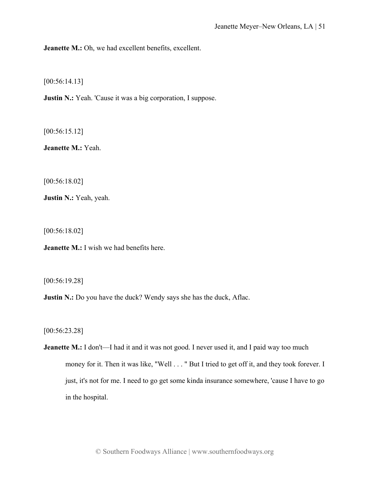**Jeanette M.:** Oh, we had excellent benefits, excellent.

[00:56:14.13]

**Justin N.:** Yeah. 'Cause it was a big corporation, I suppose.

[00:56:15.12]

**Jeanette M.:** Yeah.

[00:56:18.02]

**Justin N.:** Yeah, yeah.

[00:56:18.02]

**Jeanette M.:** I wish we had benefits here.

[00:56:19.28]

**Justin N.:** Do you have the duck? Wendy says she has the duck, Aflac.

[00:56:23.28]

**Jeanette M.:** I don't—I had it and it was not good. I never used it, and I paid way too much money for it. Then it was like, "Well . . . " But I tried to get off it, and they took forever. I just, it's not for me. I need to go get some kinda insurance somewhere, 'cause I have to go in the hospital.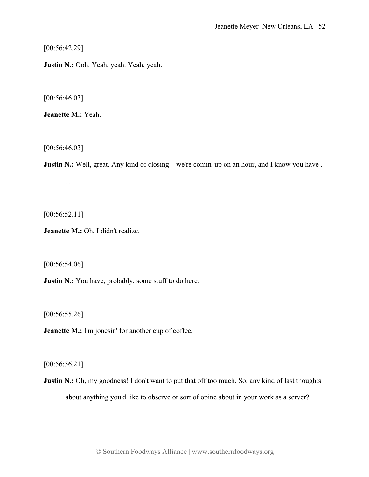[00:56:42.29]

**Justin N.:** Ooh. Yeah, yeah. Yeah, yeah.

[00:56:46.03]

**Jeanette M.:** Yeah.

[00:56:46.03]

**Justin N.:** Well, great. Any kind of closing—we're comin' up on an hour, and I know you have . . .

[00:56:52.11]

**Jeanette M.:** Oh, I didn't realize.

[00:56:54.06]

**Justin N.:** You have, probably, some stuff to do here.

[00:56:55.26]

**Jeanette M.:** I'm jonesin' for another cup of coffee.

[00:56:56.21]

**Justin N.:** Oh, my goodness! I don't want to put that off too much. So, any kind of last thoughts about anything you'd like to observe or sort of opine about in your work as a server?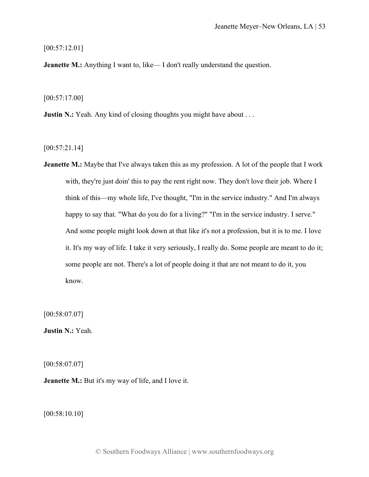[00:57:12.01]

**Jeanette M.:** Anything I want to, like—I don't really understand the question.

[00:57:17.00]

**Justin N.:** Yeah. Any kind of closing thoughts you might have about . . .

[00:57:21.14]

**Jeanette M.:** Maybe that I've always taken this as my profession. A lot of the people that I work with, they're just doin' this to pay the rent right now. They don't love their job. Where I think of this—my whole life, I've thought, "I'm in the service industry." And I'm always happy to say that. "What do you do for a living?" "I'm in the service industry. I serve." And some people might look down at that like it's not a profession, but it is to me. I love it. It's my way of life. I take it very seriously, I really do. Some people are meant to do it; some people are not. There's a lot of people doing it that are not meant to do it, you know.

[00:58:07.07]

**Justin N.:** Yeah.

[00:58:07.07]

**Jeanette M.:** But it's my way of life, and I love it.

[00:58:10.10]